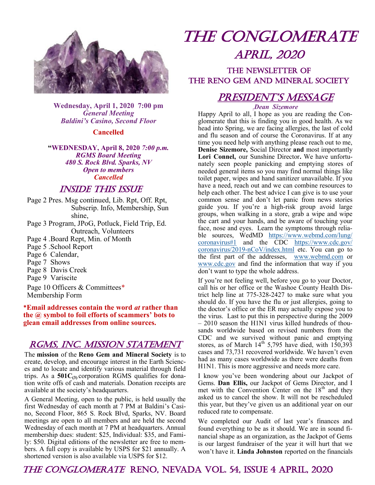

**Wednesday, April 1, 2020 7:00 pm** *General Meeting Baldini's Casino, Second Floor*

#### **Cancelled**

**"WEDNESDAY, April 8, 2020** *7:00 p.m. RGMS Board Meeting 480 S. Rock Blvd. Sparks, NV Open to members Cancelled*

## Inside This Issue

- Page 2 Pres. Msg continued, Lib. Rpt, Off. Rpt, Subscrip. Info, Membership, Sun shine,
- Page 3 Program, JPoG, Potluck, Field Trip, Ed. Outreach, Volunteers
- Page 4 .Board Rept, Min. of Month
- Page 5 .School Report
- Page 6 Calendar,
- Page 7 Shows
- Page 8 Davis Creek
- Page 9 Variscite

Page 10 Officers & Committees\* Membership Form

#### **\*Email addresses contain the word** *at* **rather than the @ symbol to foil efforts of scammers' bots to glean email addresses from online sources.**

## RGMS, INC. MISSION STATEMENT

The **mission** of the **Reno Gem and Mineral Society** is to create, develop, and encourage interest in the Earth Sciences and to locate and identify various material through field trips. As a **501C(3)** corporation RGMS qualifies for donation write offs of cash and materials. Donation receipts are available at the society's headquarters.

A General Meeting, open to the public, is held usually the first Wednesday of each month at 7 PM at Baldini's Casino, Second Floor, 865 S. Rock Blvd, Sparks, NV. Board meetings are open to all members and are held the second Wednesday of each month at 7 PM at headquarters. Annual membership dues: student: \$25, Individual: \$35, and Family: \$50. Digital editions of the newsletter are free to members. A full copy is available by USPS for \$21 annually. A shortened version is also available via USPS for \$12.

# The Conglomerate april, 2020

## THE NEWSLETTER OF the Reno Gem and Mineral society

## PRESIDENT'S MESSAGE

.*Dean Sizemore*

Happy April to all, I hope as you are reading the Conglomerate that this is finding you in good health. As we head into Spring, we are facing allergies, the last of cold and flu season and of course the Coronavirus. If at any time you need help with anything please reach out to me, **Denise Sizemore,** Social Director **and** most importantly **Lori Connel,** our Sunshine Director**.** We have unfortunately seen people panicking and emptying stores of needed general items so you may find normal things like toilet paper, wipes and hand sanitizer unavailable. If you have a need, reach out and we can combine resources to help each other. The best advice I can give is to use your common sense and don't let panic from news stories guide you. If you're a high-risk group avoid large groups, when walking in a store, grab a wipe and wipe the cart and your hands, and be aware of touching your face, nose and eyes. Learn the symptoms through reliable sources, WedMD [https://www.webmd.com/lung/](https://www.webmd.com/lung/coronavirus#1) [coronavirus#1](https://www.webmd.com/lung/coronavirus#1) and the CDC [https://www.cdc.gov/](https://www.cdc.gov/coronavirus/2019-nCoV/index.html) [coronavirus/2019](https://www.cdc.gov/coronavirus/2019-nCoV/index.html)-nCoV/index.html etc. You can go to the first part of the addresses, [www.webmd.com](http://www.webmd.com) or [www.cdc.gov](http://www.cdc.gov) and find the information that way if you don't want to type the whole address.

If you're not feeling well, before you go to your Doctor, call his or her office or the Washoe County Health District help line at 775-328-2427 to make sure what you should do. If you have the flu or just allergies, going to the doctor's office or the ER may actually expose you to the virus. Last to put this in perspective during the 2009 – 2010 season the H1N1 virus killed hundreds of thousands worldwide based on revised numbers from the CDC and we survived without panic and emptying stores, as of March  $14<sup>th</sup>$  5,795 have died, with 150,393 cases and 73,731 recovered worldwide. We haven't even had as many cases worldwide as there were deaths from H1N1. This is more aggressive and needs more care.

I know you've been wondering about our Jackpot of Gems. **Dan Ellis,** our Jackpot of Gems Director, and I met with the Convention Center on the  $18<sup>th</sup>$  and they asked us to cancel the show. It will not be rescheduled this year, but they've given us an additional year on our reduced rate to compensate.

We completed our Audit of last year's finances and found everything to be as it should. We are in sound financial shape as an organization, as the Jackpot of Gems is our largest fundraiser of the year it will hurt that we won't have it. **Linda Johnston** reported on the financials

## The Conglomerate reno, Nevada vol. 54, issue 4 april, 2020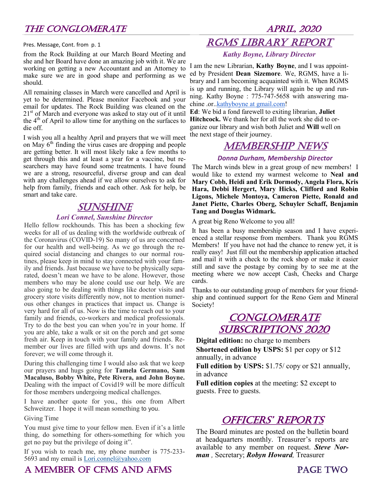Pres. Message, Cont. from p. 1

from the Rock Building at our March Board Meeting and she and her Board have done an amazing job with it. We are working on getting a new Accountant and an Attorney to make sure we are in good shape and performing as we should.

All remaining classes in March were cancelled and April is yet to be determined. Please monitor Facebook and your email for updates. The Rock Building was cleaned on the  $21<sup>st</sup>$  of March and everyone was asked to stay out of it until the  $4<sup>th</sup>$  of April to allow time for anything on the surfaces to die off.

I wish you all a healthy April and prayers that we will meet on May  $6<sup>th</sup>$  finding the virus cases are dropping and people are getting better. It will most likely take a few months to get through this and at least a year for a vaccine, but researchers may have found some treatments. I have found we are a strong, resourceful, diverse group and can deal with any challenges ahead if we allow ourselves to ask for help from family, friends and each other. Ask for help, be smart and take care.

## **SUNSHINE**

#### *Lori Connel, Sunshine Director*

Hello fellow rockhounds. This has been a shocking few weeks for all of us dealing with the worldwide outbreak of the Coronavirus (COVID-19) So many of us are concerned for our health and well-being. As we go through the required social distancing and changes to our normal routines, please keep in mind to stay connected with your family and friends. Just because we have to be physically separated, doesn't mean we have to be alone. However, those members who may be alone could use our help. We are also going to be dealing with things like doctor visits and grocery store visits differently now, not to mention numerous other changes in practices that impact us. Change is very hard for all of us. Now is the time to reach out to your family and friends, co-workers and medical professionals. Try to do the best you can when you're in your home. If you are able, take a walk or sit on the porch and get some fresh air. Keep in touch with your family and friends. Remember our lives are filled with ups and downs. It's not forever; we will come through it.

During this challenging time I would also ask that we keep our prayers and hugs going for **Tamela Germano, Sam Macaluso, Bobby White, Pete Rivera, and John Boyne.**  Dealing with the impact of Covid19 will be more difficult for those members undergoing medical challenges.

I have another quote for you., this one from Albert Schweitzer. I hope it will mean something to you.

Giving Time

You must give time to your fellow men. Even if it's a little thing, do something for others-something for which you get no pay but the privilege of doing it".

If you wish to reach me, my phone number is 775-233- 5693 and my email is [Lori.connel@yahoo.com](mailto:Lori.connel@yahoo.com)

# RGMS Library Report

### *Kathy Boyne, Library Director*

I am the new Librarian, **Kathy Boyne**, and I was appointed by President **Dean Sizemore**. We, RGMS, have a library and I am becoming acquainted with it. When RGMS is up and running, the Library will again be up and running. Kathy Boyne : 775-747-5658 with answering ma-chine .or.[.kathyboyne at gmail.com!](http://kathyboyneatgmail.com/)

**Ed**: We bid a fond farewell to exiting librarian, **Juliet Hitchcock.** We thank her for all the work she did to organize our library and wish both Juliet and **Will** well on the next stage of their journey.

## Membership News

### *Donna Durham, Membership Director*

The March winds blew in a great group of new members! I would like to extend my warmest welcome to **Neal and Mary Cobb, Heidi and Erik Dormody, Angela Flora, Kris Hara, Debbi Hergert, Mary Hicks, Clifford and Robin Ligons, Michele Montoya, Cameron Piette, Ronald and Janet Piette, Charles Oberg, Schuyler Schaff, Benjamin Tang and Douglas Widmark.**

A great big Reno Welcome to you all!

It has been a busy membership season and I have experienced a stellar response from members. Thank you RGMS Members! If you have not had the chance to renew yet, it is really easy! Just fill out the membership application attached and mail it with a check to the rock shop or make it easier still and save the postage by coming by to see me at the meeting where we now accept Cash, Checks and Charge cards.

Thanks to our outstanding group of members for your friendship and continued support for the Reno Gem and Mineral Society!

## **CONGLOMERATE** Subscriptions 2020

**Digital edition:** no charge to members **Shortened edition by USPS:** \$1 per copy or \$12 annually, in advance

**Full edition by USPS:** \$1.75/ copy or \$21 annually, in advance

**Full edition copies** at the meeting: \$2 except to guests. Free to guests.

## **OFFICERS' REPORTS**

The Board minutes are posted on the bulletin board at headquarters monthly. Treasurer's reports are available to any member on request. *Steve Norman ,* Secretary; *Robyn Howard,* Treasurer

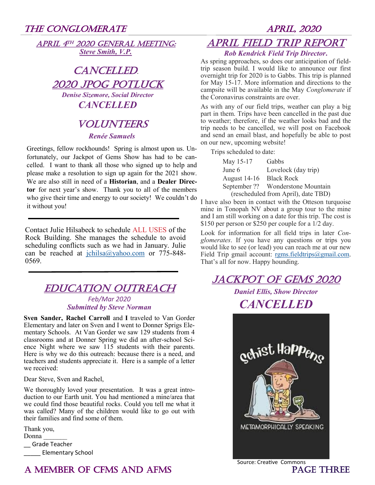|  |                          | APRIL 4TH 2020 GENERAL MEETING: |
|--|--------------------------|---------------------------------|
|  | <b>Steve Smith, V.P.</b> |                                 |

# CANCELLED. 2020 JPOG POTLUCK

*Denise Sizemore, Social Director CANCELLED*

## **VOLUNTEERS** *Renée Samuels*

Greetings, fellow rockhounds! Spring is almost upon us. Unfortunately, our Jackpot of Gems Show has had to be cancelled. I want to thank all those who signed up to help and please make a resolution to sign up again for the 2021 show. We are also still in need of a **Historian**, and a **Dealer Director** for next year's show. Thank you to all of the members who give their time and energy to our society! We couldn't do it without you!

Contact Julie Hilsabeck to schedule ALL USES of the Rock Building. She manages the schedule to avoid scheduling conflicts such as we had in January. Julie can be reached at [jchilsa@yahoo.com](mailto:jchilsa@yahoo.com) or 775-848- 0569.

## **EDUCATION OUTREACH**

*Feb/Mar 2020 Submitted by Steve Norman*

**Sven Sander, Rachel Carroll** and **I** traveled to Van Gorder Elementary and later on Sven and I went to Donner Sprigs Elementary Schools. At Van Gorder we saw 129 students from 4 classrooms and at Donner Spring we did an after-school Science Night where we saw 115 students with their parents. Here is why we do this outreach: because there is a need, and teachers and students appreciate it. Here is a sample of a letter we received:

Dear Steve, Sven and Rachel,

We thoroughly loved your presentation. It was a great introduction to our Earth unit. You had mentioned a mine/area that we could find those beautiful rocks. Could you tell me what it was called? Many of the children would like to go out with their families and find some of them.

Thank you, Donna \_\_ Grade Teacher \_\_\_\_\_ Elementary School

# April Field Trip Report

## *Rob Kendrick Field Trip Director***.**

As spring approaches, so does our anticipation of fieldtrip season build. I would like to announce our first overnight trip for 2020 is to Gabbs. This trip is planned for May 15-17. More information and directions to the campsite will be available in the May *Conglomerate* if the Coronavirus constraints are over.

As with any of our field trips, weather can play a big part in them. Trips have been cancelled in the past due to weather; therefore, if the weather looks bad and the trip needs to be cancelled, we will post on Facebook and send an email blast, and hopefully be able to post on our new, upcoming website!

Trips scheduled to date:

| May 15-17               | Gabbs                               |
|-------------------------|-------------------------------------|
| June 6                  | Lovelock (day trip)                 |
| August 14-16 Black Rock |                                     |
|                         | September ?? Wonderstone Mountain   |
|                         | (rescheduled from April), date TBD) |

I have also been in contact with the Otteson turquoise mine in Tonopah NV about a group tour to the mine and I am still working on a date for this trip. The cost is \$150 per person or \$250 per couple for a 1/2 day.

Look for information for all field trips in later *Conglomerates*. If you have any questions or trips you would like to see (or lead) you can reach me at our new Field Trip gmail account: [rgms.fieldtrips@gmail.com.](mailto:rgms.fieldtrips@gmail.com) That's all for now. Happy hounding.

## Jackpot of Gems 2020

## *Daniel Ellis, Show Director*

## *CANCELLED*



## A MEMBER OF CFMS AND AFMS PAGE THREE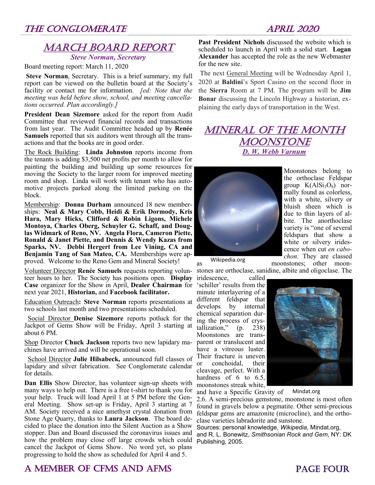## **MARCH BOARD REPORT**

*Steve Norman, Secretary*

Board meeting report: March 11, 2020

**Steve Norman**, Secretary. This is a brief summary, my full report can be viewed on the bulletin board at the Society's facility or contact me for information*. [ed: Note that the meeting was held before show, school, and meeting cancellations occurred. Plan accordingly.]*

**President Dean Sizemore** asked for the report from Audit Committee that reviewed financial records and transactions from last year. The Audit Committee headed up by **Renée Samuels** reported that six auditors went through all the transactions and that the books are in good order.

The Rock Building: **Linda Johnston** reports income from the tenants is adding \$3,500 net profits per month to allow for painting the building and building up some resources for moving the Society to the larger room for improved meeting room and shop. Linda will work with tenant who has automotive projects parked along the limited parking on the block.

Membership: **Donna Durham** announced 18 new memberships: **Neal & Mary Cobb, Heidi & Erik Dormody, Kris Hara, Mary Hicks, Clifford & Robin Ligons, Michele Montoya, Charles Oberg, Schuyler G. Schaff, and Douglas Widmark of Reno, NV. Angela Flora, Cameron Piette, Ronald & Janet Piette, and Dennis & Wendy Kazas from Sparks, NV. Debbi Hergert from Lee Vining, CA and Benjamin Tang of San Mateo, CA.** Memberships were approved. Welcome to the Reno Gem and Mineral Society!

Volunteer Director Renée Samuels requests reporting volun- stones are orthoclase, sanidine, albite and oligoclase. The teer hours to her. The Society has positions open. **Display Case** organizer for the Show in April, **Dealer Chairman** for next year 2021, **Historian,** and **Facebook facilitator.** 

Education Outreach**: Steve Norman** reports presentations at two schools last month and two presentations scheduled.

 Social Director **Denise Sizemore** reports potluck for the Jackpot of Gems Show will be Friday, April 3 starting at about 6 PM.

Shop Director **Chuck Jackson** reports two new lapidary machines have arrived and will be operational soon.

 School Director **Julie Hilsabeck,** announced full classes of lapidary and silver fabrication. See Conglomerate calendar for details.

**Dan Ellis** Show Director, has volunteer sign-up sheets with many ways to help out. There is a free t-shirt to thank you for your help. Truck will load April 1 at 5 PM before the General Meeting. Show set-up is Friday, April 3 starting at 7 AM. Society received a nice amethyst crystal donation from Stone Age Quarry, thanks to **Laura Jackson**. The board decided to place the donation into the Silent Auction as a Show stopper. Dan and Board discussed the coronavirus issues and how the problem may close off large crowds which could cancel the Jackpot of Gems Show. No word yet, so plans progressing to hold the show as scheduled for April 4 and 5.

# A MEMBER OF CFMS AND AFMS PAGE FOUR

**Past President Nichols** discussed the website which is scheduled to launch in April with a solid start. **Logan Alexander** has accepted the role as the new Webmaster for the new site.

The next General Meeting will be Wednesday April 1, 2020 at **Baldini**'s Sport Casino on the second floor in the **Sierra** Room at 7 PM. The program will be **Jim Bonar** discussing the Lincoln Highway a historian, explaining the early days of transportation in the West.

## **MINERAL OF THE MONTH MOONSTONE** *D. W. Webb Varnum*



Moonstones belong to the orthoclase Feldspar group  $K(AlSi<sub>3</sub>O<sub>8</sub>)$  normally found as colorless, with a white, silvery or bluish sheen which is due to thin layers of albite. The anorthoclase variety is "one of several feldspars that show a white or silvery iridescence when cut *en cabochon*. They are classed

Wikipedia.org

as moonstones; other moon-

iridescence, called 'schiller' results from the minute interlayering of a different feldspar that develops by internal chemical separation during the process of crystallization,"  $(p. 238)$ Moonstones are transparent or translucent and have a vitreous luster. Their fracture is uneven conchoidal, their cleavage, perfect. With a hardness of 6 to 6.5, moonstones streak white,



and have a Specific Gravity of Mindat.org

2.6. A semi-precious gemstone, moonstone is most often found in gravels below a pegmatite. Other semi-precious feldspar gems are amazonite (microcline), and the orthoclase varieties labradorite and sunstone.

Sources: personal knowledge, *Wikipedia*, Mindat.org, and R. L. Bonewitz, *Smithsonian Rock and Gem*, NY: DK Publishing, 2005.

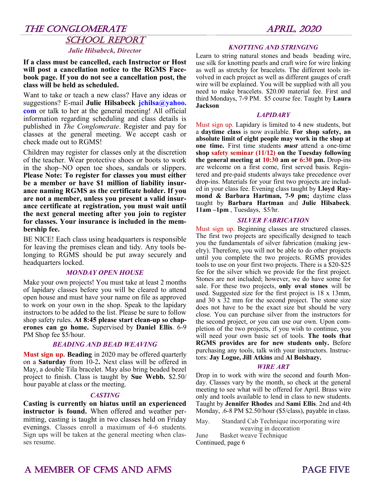## THE CONGLOMERATE APRIL, 2020 SCHOOL REPORT

#### *Julie Hilsabeck, Director*

**If a class must be cancelled, each Instructor or Host will post a cancellation notice to the RGMS Facebook page. If you do not see a cancellation post, the class will be held as scheduled.**

Want to take or teach a new class? Have any ideas or suggestions? E-mail **Julie Hilsabeck jchilsa@yahoo. com** or talk to her at the general meeting! All official information regarding scheduling and class details is published in *The Conglomerate*. Register and pay for classes at the general meeting. We accept cash or check made out to RGMS!

Children may register for classes only at the discretion of the teacher. Wear protective shoes or boots to work in the shop–NO open toe shoes, sandals or slippers. **Please Note: To register for classes you must either be a member or have \$1 million of liability insurance naming RGMS as the certificate holder. If you are not a member, unless you present a valid insurance certificate at registration, you must wait until the next general meeting after you join to register for classes. Your insurance is included in the membership fee.** 

BE NICE! Each class using headquarters is responsible for leaving the premises clean and tidy. Any tools belonging to RGMS should be put away securely and headquarters locked.

#### *MONDAY OPEN HOUSE*

Make your own projects! You must take at least 2 months of lapidary classes before you will be cleared to attend open house and must have your name on file as approved to work on your own in the shop. Speak to the lapidary instructors to be added to the list. Please be sure to follow shop safety rules. **At 8:45 please start clean-up so chaperones can go home.** Supervised by **Daniel Ellis**. 6-9 PM Shop fee \$5/hour.

#### *BEADING AND BEAD WEAVING*

**Must sign up. Beading** in 2020 may be offered quarterly on a **Saturday** from 10-2**.** Next class will be offered in May, a double Tila bracelet. May also bring beaded bezel project to finish. Class is taught by **Sue Webb.** \$2.50/ hour payable at class or the meeting.

#### *CASTING*

**Casting is currently on hiatus until an experienced instructor is found.** When offered and weather permitting, casting is taught in two classes held on Friday evenings. Classes enroll a maximum of 4-6 students. Sign ups will be taken at the general meeting when classes resume.

#### *KNOTTING AND STRINGING*

Learn to string natural stones and beads beading wire, use silk for knotting pearls and craft wire for wire linking as well as stretchy for bracelets. The different tools involved in each project as well as different gauges of craft wire will be explained. You will be supplied with all you need to make bracelets. \$20.00 material fee. First and third Mondays, 7-9 PM. \$5 course fee. Taught by **Laura Jackson**

#### *LAPIDARY*

Must sign up. Lapidary is limited to 4 new students, but a **daytime class** is now available. **For shop safety, an absolute limit of eight people may work in the shop at one time.** First time students *must* attend a one-time **shop safety seminar (11/12) on the Tuesday following the general meeting at 10:30 am or 6:30 pm.** Drop-ins are welcome on a first come, first served basis. Registered and pre-paid students always take precedence over drop-ins. Materials for your first two projects are included in your class fee. Evening class taught by **Lloyd Raymond & Barbara Hartman, 7-9 pm;** daytime class taught by **Barbara Hartman** and **Julie Hilsabeck**. **11am –1pm** , Tuesdays, \$5/hr.

#### *SILVER FABRICATION*

Must sign up. Beginning classes are structured classes. The first two projects are specifically designed to teach you the fundamentals of silver fabrication (making jewelry). Therefore, you will not be able to do other projects until you complete the two projects. RGMS provides tools to use on your first two projects. There is a \$20-\$25 fee for the silver which we provide for the first project. Stones are not included; however, we do have some for sale. For these two projects, **only oval stones** will be used. Suggested size for the first project is 18 x 13mm, and 30 x 32 mm for the second project. The stone size does not have to be the exact size but should be very close. You can purchase silver from the instructors for the second project, or you can use our own. Upon completion of the two projects, if you wish to continue, you will need your own basic set of tools. **The tools that RGMS provides are for new students only.** Before purchasing any tools, talk with your instructors. Instructors: **Jay Logue, Jill Atkins** and **Al Bolshazy.** 

#### *WIRE ART*

Drop in to work with wire the second and fourth Monday. Classes vary by the month, so check at the general meeting to see what will be offered for April. Brass wire only and tools available to lend in class to new students. Taught by **Jennifer Rhodes** and **Sami Ellis**. 2nd and 4th Monday, .6-8 PM \$2.50/hour (\$5/class), payable in class.

May. Standard Cab Technique incorporating wire weaving in decoration

June Basket weave Technique Continued, page 6

## A MEMBER OF CFMS AND AFMS **PAGE FIVE**

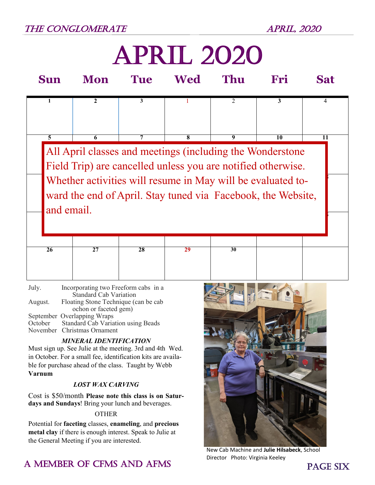# april 2020

| Sun                                                                                                                                       | Mon                                                                                                                       | <b>Tue</b>      | Wed | Thu             | Fri | <b>Sat</b> |  |  |  |  |
|-------------------------------------------------------------------------------------------------------------------------------------------|---------------------------------------------------------------------------------------------------------------------------|-----------------|-----|-----------------|-----|------------|--|--|--|--|
|                                                                                                                                           | $\mathbf{2}$                                                                                                              | 3               |     | 2               | 3   | 4          |  |  |  |  |
| 5                                                                                                                                         | 6                                                                                                                         | 7               | 8   | 9               | 10  | 11         |  |  |  |  |
|                                                                                                                                           | All April classes and meetings (including the Wonderstone<br>Field Trip) are cancelled unless you are notified otherwise. |                 |     |                 |     |            |  |  |  |  |
| Whether activities will resume in May will be evaluated to-<br>ward the end of April. Stay tuned via Facebook, the Website,<br>and email. |                                                                                                                           |                 |     |                 |     |            |  |  |  |  |
|                                                                                                                                           |                                                                                                                           |                 |     |                 |     |            |  |  |  |  |
| $\overline{26}$                                                                                                                           | 27                                                                                                                        | $\overline{28}$ | 29  | $\overline{30}$ |     |            |  |  |  |  |
|                                                                                                                                           |                                                                                                                           |                 |     |                 |     |            |  |  |  |  |

July. Incorporating two Freeform cabs in a Standard Cab Variation August. Floating Stone Technique (can be cab ochon or faceted gem) September Overlapping Wraps<br>October Standard Cab Varia Standard Cab Variation using Beads November Christmas Ornament

### *MINERAL IDENTIFICATION*

Must sign up. See Julie at the meeting. 3rd and 4th Wed. in October. For a small fee, identification kits are available for purchase ahead of the class. Taught by Webb **Varnum**

### *LOST WAX CARVING*

Cost is \$50/month **Please note this class is on Saturdays and Sundays**! Bring your lunch and beverages.

### **OTHER**

Potential for **faceting** classes, **enameling**, and **precious metal clay** if there is enough interest. Speak to Julie at the General Meeting if you are interested.

## A MEMBER OF CFMS AND AFMS **EXECUTE:** THE MEMBER OF CFMS AND AFMS



New Cab Machine and **Julie Hilsabeck**, School Director Photo: Virginia Keeley

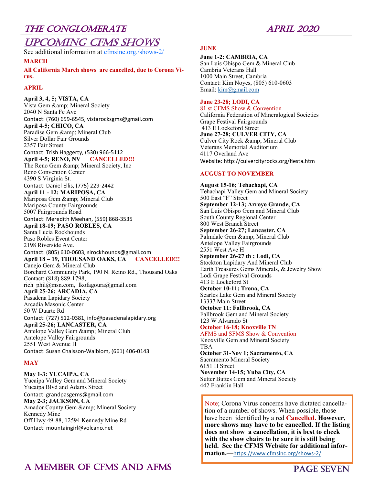## Upcoming CFMS shows

See additional information at cfmsinc.org./shows-2/

**MARCH**

**All California March shows are cancelled, due to Corona Virus.**

#### **APRIL**

**April 3, 4, 5; VISTA, CA** Vista Gem & amp; Mineral Society 2040 N Santa Fe Ave Contact: (760) 659-6545, vistarocksgms@gmail.com **April 4-5; CHICO, CA** Paradise Gem & amp; Mineral Club Silver Dollar Fair Grounds 2357 Fair Street Contact: Trish Haggerty, (530) 966-5112 **April 4-5; RENO, NV CANCELLED!!!** The Reno Gem & amp; Mineral Society, Inc Reno Convention Center 4390 S Virginia St. Contact: Daniel Ellis, (775) 229-2442 **April 11 - 12: MARIPOSA, CA** Mariposa Gem & amp; Mineral Club Mariposa County Fairgrounds 5007 Fairgrounds Road Contact: Meredith Meehan, (559) 868-3535 **April 18-19; PASO ROBLES, CA** Santa Lucia Rockhounds Paso Robles Event Center 2198 Riverside Ave. Contact: (805) 610-0603, slrockhounds@gmail.com **April 18 – 19, THOUSAND OAKS, CA CANCELLED!!!** Canejo Gem & Mineral Club Borchard Community Park, 190 N. Reino Rd., Thousand Oaks Contact: (818) 889-1798, rich phil@msn.com, lkofagoura@gmail.com **April 25-26; ARCADIA, CA** Pasadena Lapidary Society Arcadia Masonic Center 50 W Duarte Rd Contact: (727) 512-0381, info@pasadenalapidary.org **April 25-26; LANCASTER, CA** Antelope Valley Gem & amp; Mineral Club Antelope Valley Fairgrounds 2551 West Avenue H Contact: Susan Chaisson-Walblom, (661) 406-0143 **MAY**

**May 1-3: YUCAIPA, CA** Yucaipa Valley Gem and Mineral Society Yucaipa Blvd and Adams Street Contact: grandpasgems@gmail.com **May 2-3; JACKSON, CA** Amador County Gem & amp; Mineral Society Kennedy Mine Off Hwy 49-88, 12594 Kennedy Mine Rd Contact: mountaingirl@volcano.net

#### **JUNE**

**June 1-2: CAMBRIA, CA**

San Luis Obispo Gem & Mineral Club Cambria Veterans Hall 1000 Main Street, Cambria Contact: Kim Noyes, (805) 610-0603 Email: [kim@gmail.com](mailto:kim@gmail.com)

#### **June 23-28; LODI, CA**

81 st CFMS Show & Convention California Federation of Mineralogical Societies Grape Festival Fairgrounds 413 E Lockeford Street **June 27-28; CULVER CITY, CA** Culver City Rock & amp; Mineral Club Veterans Memorial Auditorium 4117 Overland Ave Website: http://culvercityrocks.org/fiesta.htm

#### **AUGUST TO NOVEMBER**

**August 15-16; Tehachapi, CA** Tehachapi Valley Gem and Mineral Society 500 East "F" Street **September 12-13; Arroyo Grande, CA** San Luis Obispo Gem and Mineral Club South County Regional Center 800 West Branch Street **September 26-27; Lancaster, CA** Palmdale Gem & amp; Mineral Club Antelope Valley Fairgrounds 2551 West Ave H **September 26-27 th ; Lodi, CA** Stockton Lapidary And Mineral Club Earth Treasures Gems Minerals, & Jewelry Show Lodi Grape Festival Grounds 413 E Lockeford St **October 10-11; Trona, CA** Searles Lake Gem and Mineral Society 13337 Main Street **October 11: Fallbrook, CA** Fallbrook Gem and Mineral Society 123 W Alvarado St **October 16-18; Knoxville TN** AFMS and SFMS Show & Convention Knoxville Gem and Mineral Society TBA **October 31-Nov 1; Sacramento, CA** Sacramento Mineral Society 6151 H Street **November 14-15; Yuba City, CA** Sutter Buttes Gem and Mineral Society 442 Franklin Hall

Note; Corona Virus concerns have dictated cancellation of a number of shows. When possible, those have been identified by a red **Cancelled. However, more shows may have to be cancelled. If the listing does not show a cancellation, it is best to check with the show chairs to be sure it is still being held. See the CFMS Website for additional information.—**[https://www.cfmsinc.org/shows](https://www.cfmsinc.org/shows-2/)-2/

## A MEMBER OF CFMS AND AFMS PAGE SEVEN

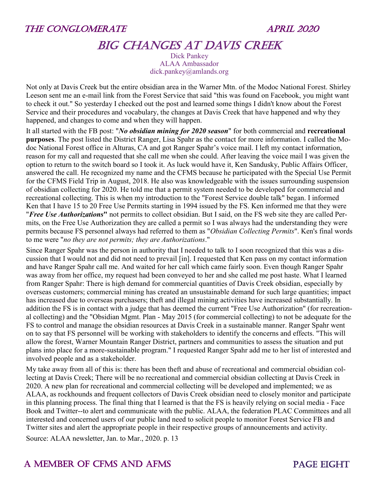

## BIG CHANGES AT DAVIS CREEK

Dick Pankey ALAA Ambassador dick.pankey@amlands.org

Not only at Davis Creek but the entire obsidian area in the Warner Mtn. of the Modoc National Forest. Shirley Leeson sent me an e-mail link from the Forest Service that said "this was found on Facebook, you might want to check it out." So yesterday I checked out the post and learned some things I didn't know about the Forest Service and their procedures and vocabulary, the changes at Davis Creek that have happened and why they happened, and changes to come and when they will happen.

It all started with the FB post: "*No obsidian mining for 2020 season*" for both commercial and **recreational purposes**. The post listed the District Ranger, Lisa Spahr as the contact for more information. I called the Modoc National Forest office in Alturas, CA and got Ranger Spahr's voice mail. I left my contact information, reason for my call and requested that she call me when she could. After leaving the voice mail I was given the option to return to the switch board so I took it. As luck would have it, Ken Sandusky, Public Affairs Officer, answered the call. He recognized my name and the CFMS because he participated with the Special Use Permit for the CFMS Field Trip in August, 2018. He also was knowledgeable with the issues surrounding suspension of obsidian collecting for 2020. He told me that a permit system needed to be developed for commercial and recreational collecting. This is when my introduction to the "Forest Service double talk" began. I informed Ken that I have 15 to 20 Free Use Permits starting in 1994 issued by the FS. Ken informed me that they were "*Free Use Authorizations***"** not permits to collect obsidian. But I said, on the FS web site they are called Permits, on the Free Use Authorization they are called a permit so I was always had the understanding they were permits because FS personnel always had referred to them as "*Obsidian Collecting Permits*". Ken's final words to me were "*no they are not permits; they are Authorizations*."

Since Ranger Spahr was the person in authority that I needed to talk to I soon recognized that this was a discussion that I would not and did not need to prevail [in]. I requested that Ken pass on my contact information and have Ranger Spahr call me. And waited for her call which came fairly soon. Even though Ranger Spahr was away from her office, my request had been conveyed to her and she called me post haste. What I learned from Ranger Spahr: There is high demand for commercial quantities of Davis Creek obsidian, especially by overseas customers; commercial mining has created an unsustainable demand for such large quantities; impact has increased due to overseas purchasers; theft and illegal mining activities have increased substantially. In addition the FS is in contact with a judge that has deemed the current "Free Use Authorization" (for recreational collecting) and the "Obsidian Mgmt. Plan - May 2015 (for commercial collecting) to not be adequate for the FS to control and manage the obsidian resources at Davis Creek in a sustainable manner. Ranger Spahr went on to say that FS personnel will be working with stakeholders to identify the concerns and effects. "This will allow the forest, Warner Mountain Ranger District, partners and communities to assess the situation and put plans into place for a more-sustainable program." I requested Ranger Spahr add me to her list of interested and involved people and as a stakeholder.

My take away from all of this is: there has been theft and abuse of recreational and commercial obsidian collecting at Davis Creek; There will be no recreational and commercial obsidian collecting at Davis Creek in 2020. A new plan for recreational and commercial collecting will be developed and implemented; we as ALAA, as rockhounds and frequent collectors of Davis Creek obsidian need to closely monitor and participate in this planning process. The final thing that I learned is that the FS is heavily relying on social media - Face Book and Twitter--to alert and communicate with the public. ALAA, the federation PLAC Committees and all interested and concerned users of our public land need to solicit people to monitor Forest Service FB and Twitter sites and alert the appropriate people in their respective groups of announcements and activity.

Source: ALAA newsletter, Jan. to Mar., 2020. p. 13

## A MEMBER OF CFMS AND AFMS **EXAMPLE A MEMBER OF CFMS** AND AFMS